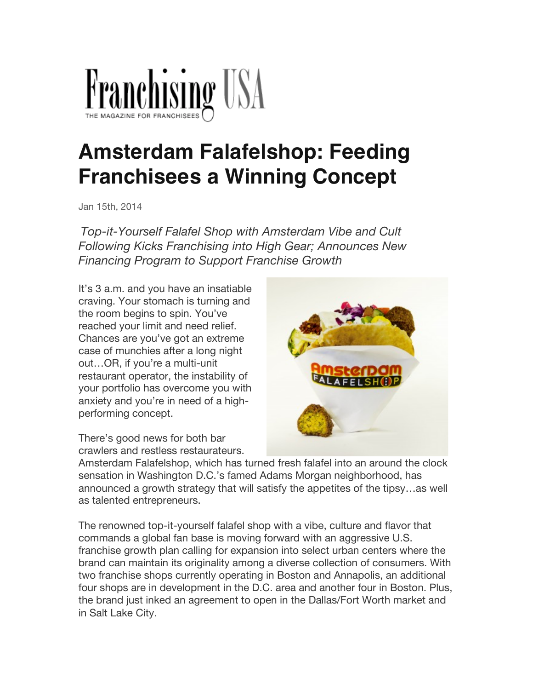

## **Amsterdam Falafelshop: Feeding Franchisees a Winning Concept**

Jan 15th, 2014

*Top-it-Yourself Falafel Shop with Amsterdam Vibe and Cult Following Kicks Franchising into High Gear; Announces New Financing Program to Support Franchise Growth*

It's 3 a.m. and you have an insatiable craving. Your stomach is turning and the room begins to spin. You've reached your limit and need relief. Chances are you've got an extreme case of munchies after a long night out…OR, if you're a multi-unit restaurant operator, the instability of your portfolio has overcome you with anxiety and you're in need of a highperforming concept.



There's good news for both bar crawlers and restless restaurateurs.

Amsterdam Falafelshop, which has turned fresh falafel into an around the clock sensation in Washington D.C.'s famed Adams Morgan neighborhood, has announced a growth strategy that will satisfy the appetites of the tipsy…as well as talented entrepreneurs.

The renowned top-it-yourself falafel shop with a vibe, culture and flavor that commands a global fan base is moving forward with an aggressive U.S. franchise growth plan calling for expansion into select urban centers where the brand can maintain its originality among a diverse collection of consumers. With two franchise shops currently operating in Boston and Annapolis, an additional four shops are in development in the D.C. area and another four in Boston. Plus, the brand just inked an agreement to open in the Dallas/Fort Worth market and in Salt Lake City.